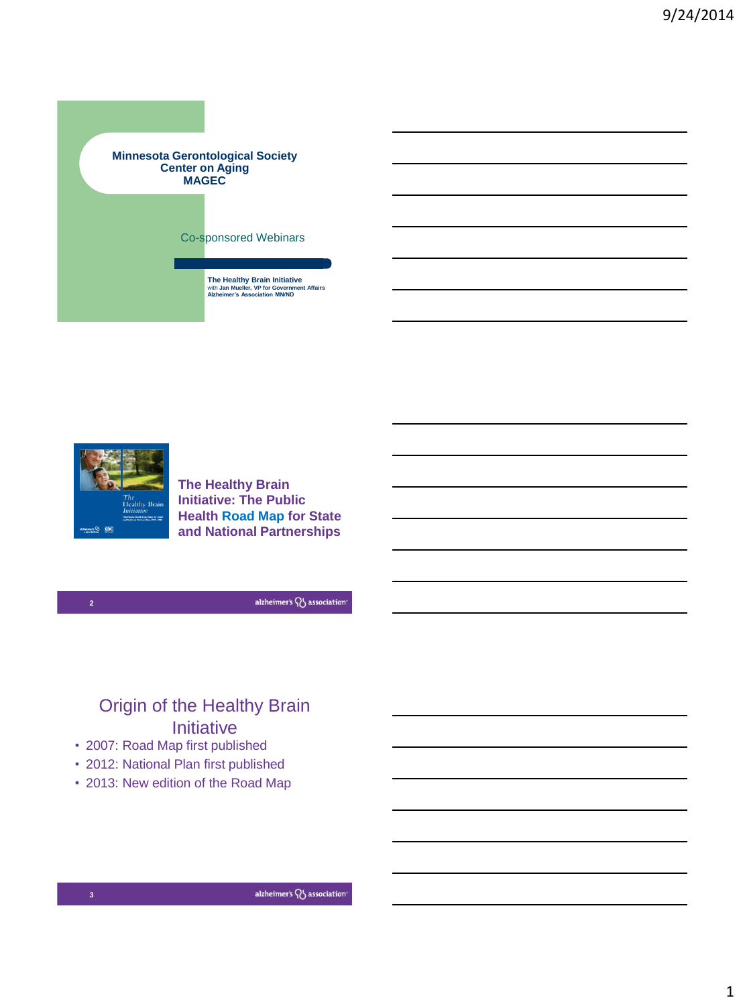



**The Healthy Brain Initiative: The Public Health Road Map for State and National Partnerships**

alzheimer's QJ association

# Origin of the Healthy Brain **Initiative**

- 2007: Road Map first published
- 2012: National Plan first published
- 2013: New edition of the Road Map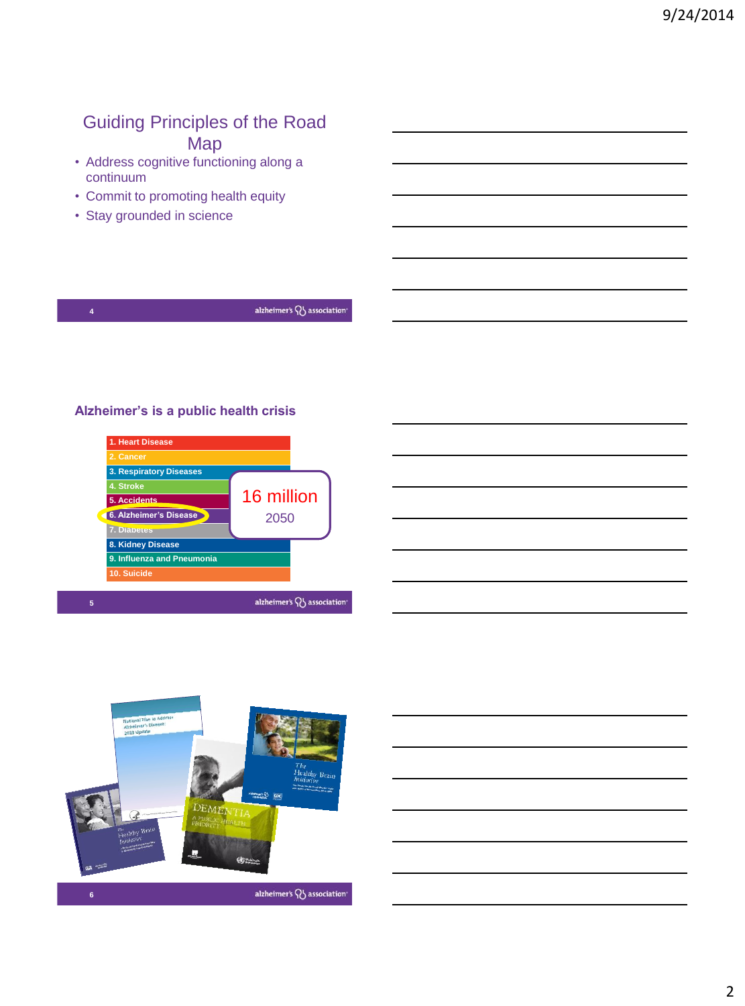## Guiding Principles of the Road Map

- Address cognitive functioning along a continuum
- Commit to promoting health equity
- Stay grounded in science

#### **Alzheimer's is a public health crisis**







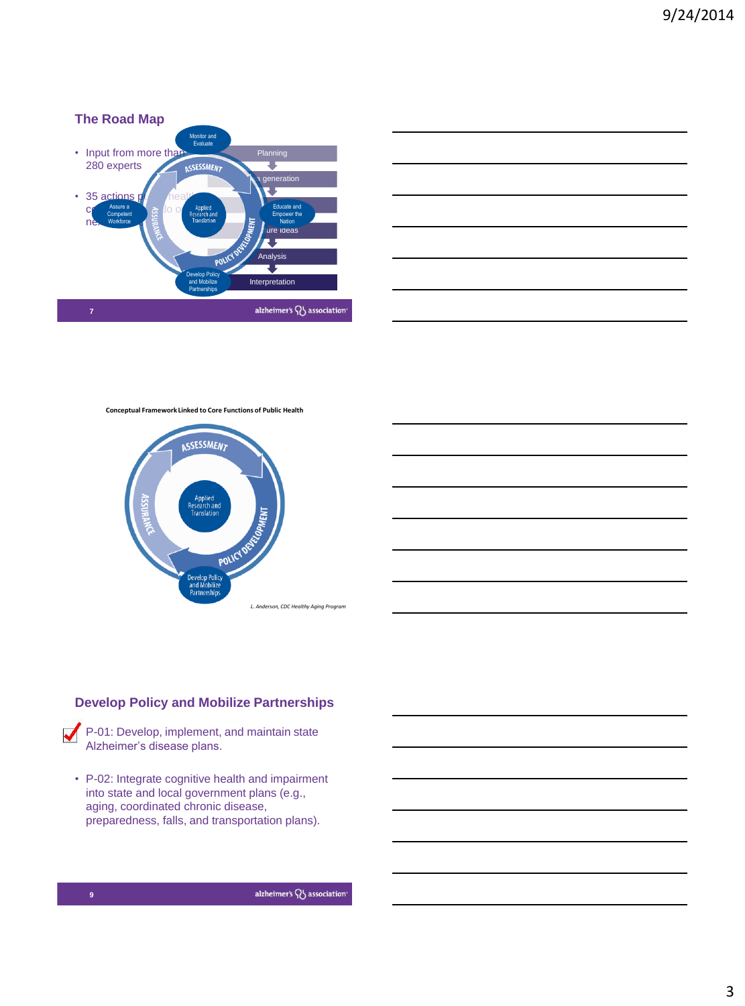



**Conceptual Framework Linked to Core Functions of Public Health**





P-01: Develop, implement, and maintain state Alzheimer's disease plans.

• P-02: Integrate cognitive health and impairment into state and local government plans (e.g., aging, coordinated chronic disease, preparedness, falls, and transportation plans).

alzheimer's QJ association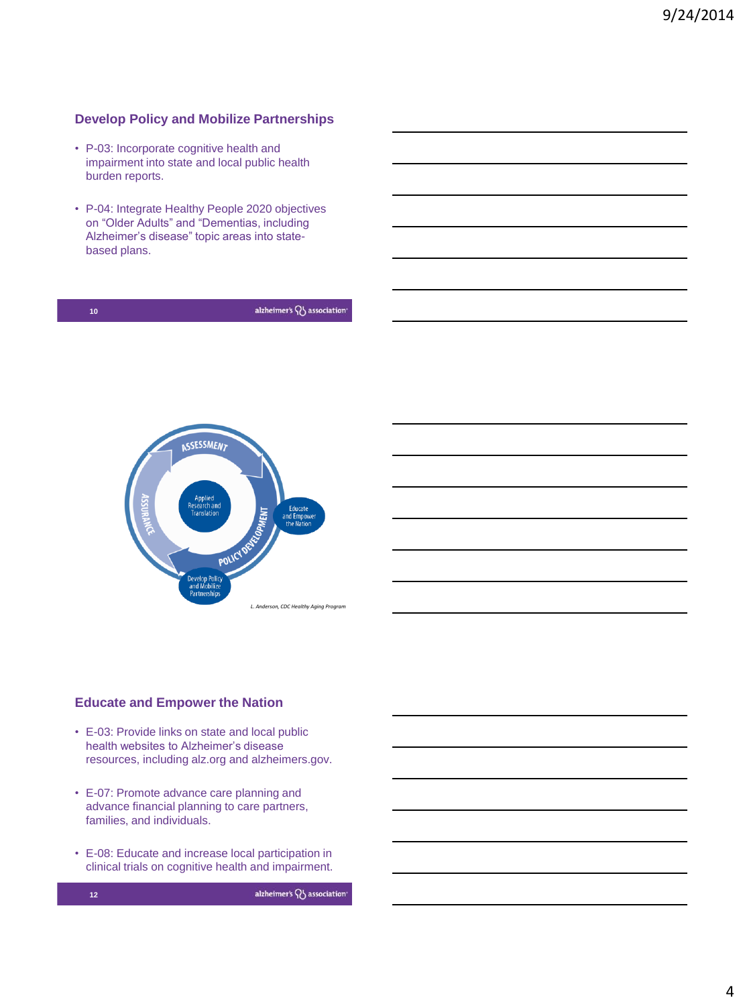### **Develop Policy and Mobilize Partnerships**

- P-03: Incorporate cognitive health and impairment into state and local public health burden reports.
- P-04: Integrate Healthy People 2020 objectives on "Older Adults" and "Dementias, including Alzheimer's disease" topic areas into statebased plans.

| 10 | alzheimer's $\bigwedge$ association |  |  |
|----|-------------------------------------|--|--|
|    |                                     |  |  |
|    |                                     |  |  |



#### **Educate and Empower the Nation**

- E-03: Provide links on state and local public health websites to Alzheimer's disease resources, including alz.org and alzheimers.gov.
- E-07: Promote advance care planning and advance financial planning to care partners, families, and individuals.
- E-08: Educate and increase local participation in clinical trials on cognitive health and impairment.



alzheimer's QJ association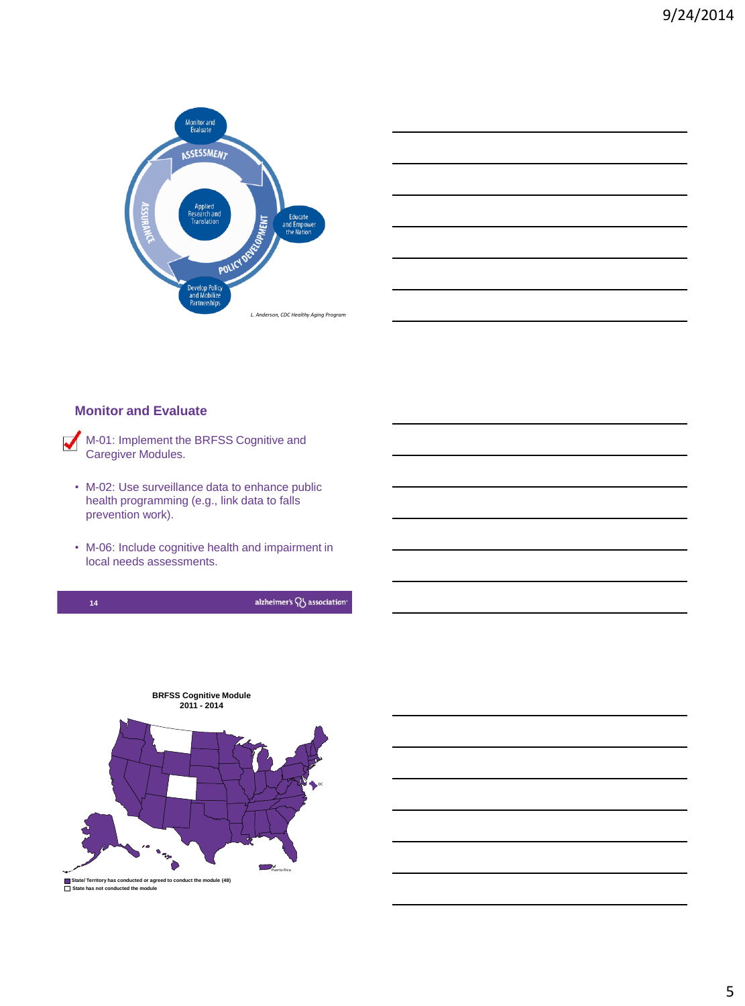



#### **Monitor and Evaluate**

```
M-01: Implement the BRFSS Cognitive and
Caregiver Modules.
```
- M-02: Use surveillance data to enhance public health programming (e.g., link data to falls prevention work).
- M-06: Include cognitive health and impairment in local needs assessments.



alzheimer's QJ association



5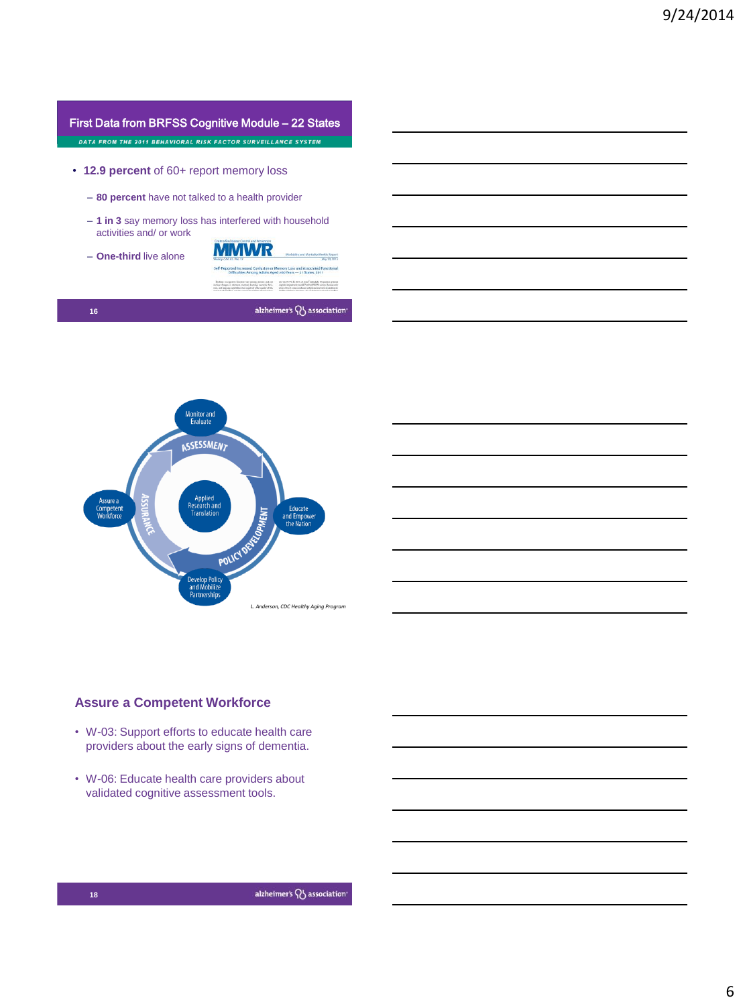|                                                               | First Data from BRFSS Cognitive Module – 22 States                                                                                                                                                                                                                                                                                                                                                                                                                                                                                                          |  |
|---------------------------------------------------------------|-------------------------------------------------------------------------------------------------------------------------------------------------------------------------------------------------------------------------------------------------------------------------------------------------------------------------------------------------------------------------------------------------------------------------------------------------------------------------------------------------------------------------------------------------------------|--|
| DATA FROM THE 2011 BEHAVIORAL RISK FACTOR SURVEILLANCE SYSTEM |                                                                                                                                                                                                                                                                                                                                                                                                                                                                                                                                                             |  |
|                                                               |                                                                                                                                                                                                                                                                                                                                                                                                                                                                                                                                                             |  |
| • 12.9 percent of 60+ report memory loss                      |                                                                                                                                                                                                                                                                                                                                                                                                                                                                                                                                                             |  |
|                                                               |                                                                                                                                                                                                                                                                                                                                                                                                                                                                                                                                                             |  |
| - 80 percent have not talked to a health provider             |                                                                                                                                                                                                                                                                                                                                                                                                                                                                                                                                                             |  |
| activities and/ or work                                       | - 1 in 3 say memory loss has interfered with household                                                                                                                                                                                                                                                                                                                                                                                                                                                                                                      |  |
| $-$ One-third live alone                                      | Centers for Diverse Control and Persention<br>Morbidity and Martality Weekly Report<br>May 10, 3511                                                                                                                                                                                                                                                                                                                                                                                                                                                         |  |
|                                                               | Self-Reported Increased Confusion or Memory Loss and Associated Functional<br>Difficulties Among Adults Aged ≥60 Years - 21 States, 2011                                                                                                                                                                                                                                                                                                                                                                                                                    |  |
|                                                               | Define is implier function vary awarg persons and con-<br>per year 45.7%, for 2011. 21 appral included a life granteen reviseed<br>cupate impairment modul/ in their HEESS screen. Because only<br>include changes to retendors, memory learning, executive Ame-<br>ites, and between cardoline that resolvely allies suder of 16;<br>area of the H state conducted all phone intersipes is additionally<br>company's photographics, and the convention the moletus indicated chick-<br>bet-The interliers interstate. Also resided accomplication business |  |

alzheimer's **W** association

**Monitor and<br>Evaluate ASSESSMENT Issure** a Educate<br>and Empor<br>the Natio .<br>ompeter<br>Norkforc **PMENT** POLICY velop |<br>|d Mol *L. Anderson, CDC Healthy Aging Program*

#### **Assure a Competent Workforce**

- W-03: Support efforts to educate health care providers about the early signs of dementia.
- W-06: Educate health care providers about validated cognitive assessment tools.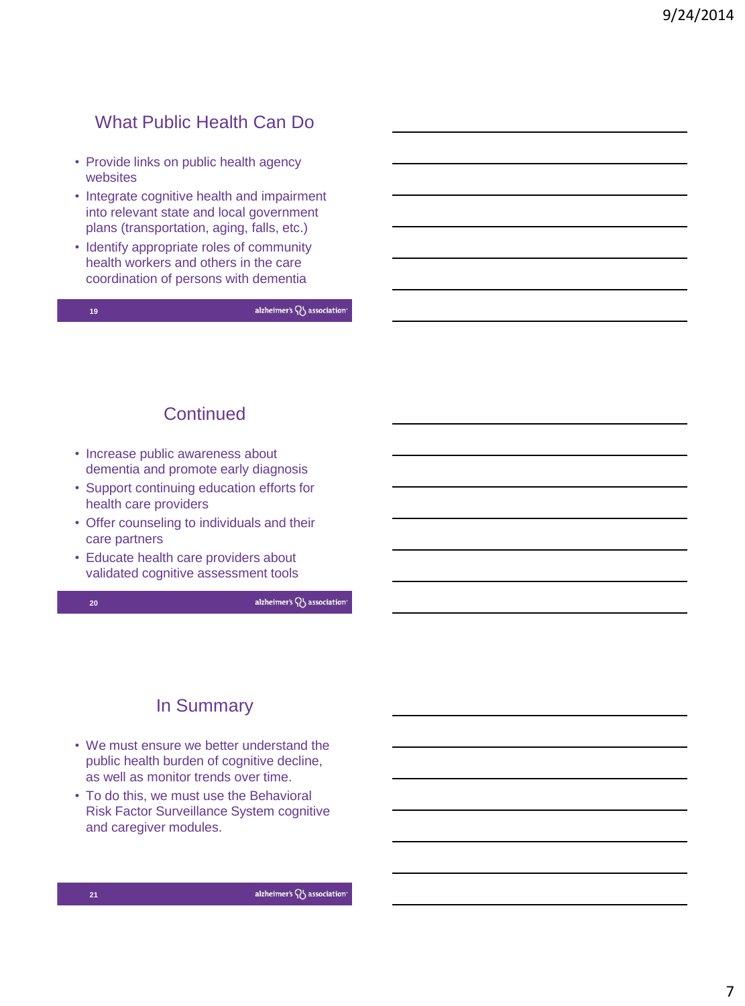## What Public Health Can Do

- Provide links on public health agency websites
- Integrate cognitive health and impairment into relevant state and local government plans (transportation, aging, falls, etc.)
- Identify appropriate roles of community health workers and others in the care coordination of persons with dementia

**19**

alzheimer's QJ association

## **Continued**

- Increase public awareness about dementia and promote early diagnosis
- Support continuing education efforts for health care providers
- Offer counseling to individuals and their care partners
- Educate health care providers about validated cognitive assessment tools



alzheimer's QJ association

# In Summary

- We must ensure we better understand the public health burden of cognitive decline, as well as monitor trends over time.
- To do this, we must use the Behavioral Risk Factor Surveillance System cognitive and caregiver modules.